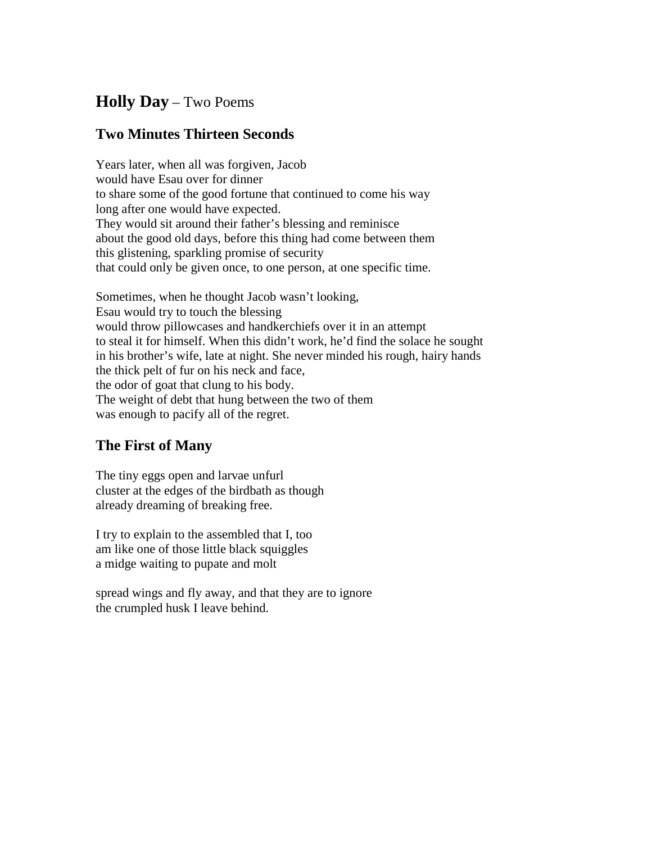## **Holly Day** – Two Poems

## **Two Minutes Thirteen Seconds**

Years later, when all was forgiven, Jacob would have Esau over for dinner to share some of the good fortune that continued to come his way long after one would have expected. They would sit around their father's blessing and reminisce about the good old days, before this thing had come between them this glistening, sparkling promise of security that could only be given once, to one person, at one specific time.

Sometimes, when he thought Jacob wasn't looking, Esau would try to touch the blessing would throw pillowcases and handkerchiefs over it in an attempt to steal it for himself. When this didn't work, he'd find the solace he sought in his brother's wife, late at night. She never minded his rough, hairy hands the thick pelt of fur on his neck and face, the odor of goat that clung to his body. The weight of debt that hung between the two of them was enough to pacify all of the regret.

## **The First of Many**

The tiny eggs open and larvae unfurl cluster at the edges of the birdbath as though already dreaming of breaking free.

I try to explain to the assembled that I, too am like one of those little black squiggles a midge waiting to pupate and molt

spread wings and fly away, and that they are to ignore the crumpled husk I leave behind.